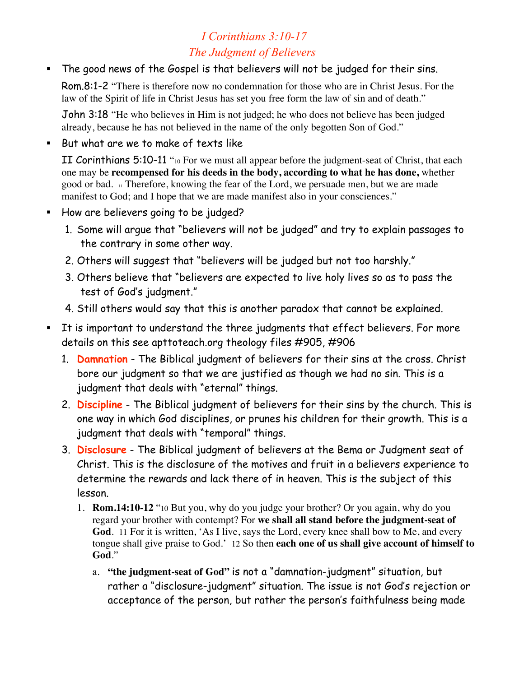# *I Corinthians 3:10-17 The Judgment of Believers*

The good news of the Gospel is that believers will not be judged for their sins.

Rom.8:1-2 "There is therefore now no condemnation for those who are in Christ Jesus. For the law of the Spirit of life in Christ Jesus has set you free form the law of sin and of death."

John 3:18 "He who believes in Him is not judged; he who does not believe has been judged already, because he has not believed in the name of the only begotten Son of God."

**But what are we to make of texts like** 

II Corinthians 5:10-11 "10 For we must all appear before the judgment-seat of Christ, that each one may be **recompensed for his deeds in the body, according to what he has done,** whether good or bad. 11 Therefore, knowing the fear of the Lord, we persuade men, but we are made manifest to God; and I hope that we are made manifest also in your consciences."

- How are believers going to be judged?
	- 1. Some will argue that "believers will not be judged" and try to explain passages to the contrary in some other way.
	- 2. Others will suggest that "believers will be judged but not too harshly."
	- 3. Others believe that "believers are expected to live holy lives so as to pass the test of God's judgment."
	- 4. Still others would say that this is another paradox that cannot be explained.
- It is important to understand the three judgments that effect believers. For more details on this see apttoteach.org theology files #905, #906
	- 1. **Damnation** The Biblical judgment of believers for their sins at the cross. Christ bore our judgment so that we are justified as though we had no sin. This is a judgment that deals with "eternal" things.
	- 2. **Discipline** The Biblical judgment of believers for their sins by the church. This is one way in which God disciplines, or prunes his children for their growth. This is a judgment that deals with "temporal" things.
	- 3. **Disclosure** The Biblical judgment of believers at the Bema or Judgment seat of Christ. This is the disclosure of the motives and fruit in a believers experience to determine the rewards and lack there of in heaven. This is the subject of this lesson.
		- 1. **Rom.14:10-12** "10 But you, why do you judge your brother? Or you again, why do you regard your brother with contempt? For **we shall all stand before the judgment-seat of God**. 11 For it is written, 'As I live, says the Lord, every knee shall bow to Me, and every tongue shall give praise to God.' 12 So then **each one of us shall give account of himself to God**."
			- a. **"the judgment-seat of God"** is not a "damnation-judgment" situation, but rather a "disclosure-judgment" situation. The issue is not God's rejection or acceptance of the person, but rather the person's faithfulness being made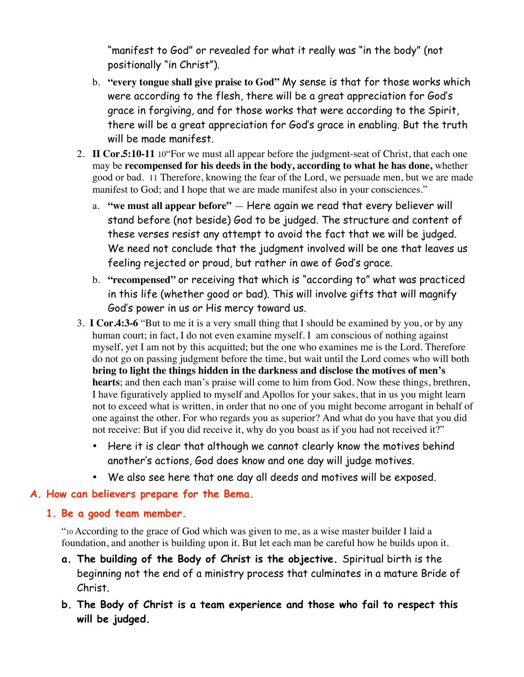"manifest to God" or revealed for what it really was "in the body" (not positionally "in Christ").

- b. **"every tongue shall give praise to God"** My sense is that for those works which were according to the flesh, there will be a great appreciation for God's grace in forgiving, and for those works that were according to the Spirit, there will be a great appreciation for God's grace in enabling. But the truth will be made manifest.
- 2. **II Cor.5:10-11** 10"For we must all appear before the judgment-seat of Christ, that each one may be **recompensed for his deeds in the body, according to what he has done,** whether good or bad. 11 Therefore, knowing the fear of the Lord, we persuade men, but we are made manifest to God; and I hope that we are made manifest also in your consciences."
	- a. **"we must all appear before"**  Here again we read that every believer will stand before (not beside) God to be judged. The structure and content of these verses resist any attempt to avoid the fact that we will be judged. We need not conclude that the judgment involved will be one that leaves us feeling rejected or proud, but rather in awe of God's grace.
	- b. **"recompensed"** or receiving that which is "according to" what was practiced in this life (whether good or bad). This will involve gifts that will magnify God's power in us or His mercy toward us.
- 3. **I Cor.4:3-6** "But to me it is a very small thing that I should be examined by you, or by any human court; in fact, I do not even examine myself. I am conscious of nothing against myself, yet I am not by this acquitted; but the one who examines me is the Lord. Therefore do not go on passing judgment before the time, but wait until the Lord comes who will both **bring to light the things hidden in the darkness and disclose the motives of men's hearts**; and then each man's praise will come to him from God. Now these things, brethren, I have figuratively applied to myself and Apollos for your sakes, that in us you might learn not to exceed what is written, in order that no one of you might become arrogant in behalf of one against the other. For who regards you as superior? And what do you have that you did not receive: But if you did receive it, why do you boast as if you had not received it?"
	- Here it is clear that although we cannot clearly know the motives behind another's actions, God does know and one day will judge motives.
	- We also see here that one day all deeds and motives will be exposed.

# **A. How can believers prepare for the Bema.**

# **1. Be a good team member.**

"10 According to the grace of God which was given to me, as a wise master builder I laid a foundation, and another is building upon it. But let each man be careful how he builds upon it.

- **a. The building of the Body of Christ is the objective.** Spiritual birth is the beginning not the end of a ministry process that culminates in a mature Bride of Christ.
- **b. The Body of Christ is a team experience and those who fail to respect this will be judged.**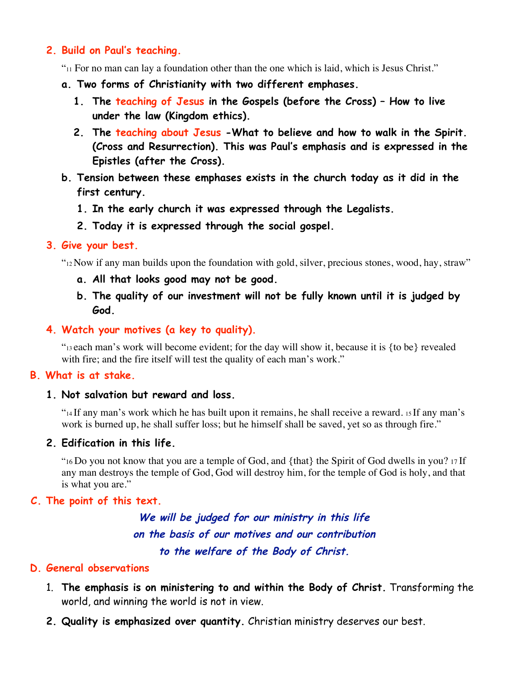#### **2. Build on Paul's teaching.**

 $v_{11}$  For no man can lay a foundation other than the one which is laid, which is Jesus Christ."

- **a. Two forms of Christianity with two different emphases.**
	- **1. The teaching of Jesus in the Gospels (before the Cross) How to live under the law (Kingdom ethics).**
	- **2. The teaching about Jesus -What to believe and how to walk in the Spirit. (Cross and Resurrection). This was Paul's emphasis and is expressed in the Epistles (after the Cross).**
- **b. Tension between these emphases exists in the church today as it did in the first century.**
	- **1. In the early church it was expressed through the Legalists.**
	- **2. Today it is expressed through the social gospel.**

#### **3. Give your best.**

"12 Now if any man builds upon the foundation with gold, silver, precious stones, wood, hay, straw"

- **a. All that looks good may not be good.**
- **b. The quality of our investment will not be fully known until it is judged by God.**

# **4. Watch your motives (a key to quality).**

"13 each man's work will become evident; for the day will show it, because it is {to be} revealed with fire; and the fire itself will test the quality of each man's work."

# **B. What is at stake.**

#### **1. Not salvation but reward and loss.**

 $\gamma$ <sup>14</sup> If any man's work which he has built upon it remains, he shall receive a reward. 15 If any man's work is burned up, he shall suffer loss; but he himself shall be saved, yet so as through fire."

# **2. Edification in this life.**

"16 Do you not know that you are a temple of God, and {that} the Spirit of God dwells in you? 17 If any man destroys the temple of God, God will destroy him, for the temple of God is holy, and that is what you are."

# **C. The point of this text.**

**We will be judged for our ministry in this life on the basis of our motives and our contribution to the welfare of the Body of Christ.**

#### **D. General observations**

- 1. **The emphasis is on ministering to and within the Body of Christ.** Transforming the world, and winning the world is not in view.
- **2. Quality is emphasized over quantity.** Christian ministry deserves our best.